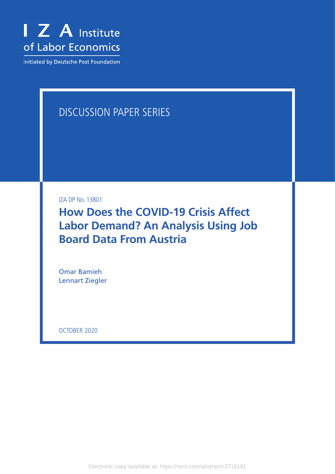

Initiated by Deutsche Post Foundation

# DISCUSSION PAPER SERIES

IZA DP No. 13801

**How Does the COVID-19 Crisis Affect Labor Demand? An Analysis Using Job Board Data From Austria**

Omar Bamieh Lennart Ziegler

OCTOBER 2020

Electronic copy available at: https://ssrn.com/abstract=3718181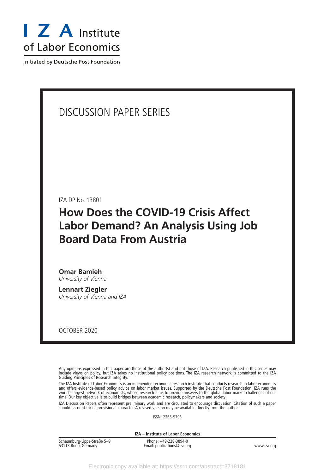

Initiated by Deutsche Post Foundation

## DISCUSSION PAPER SERIES

IZA DP No. 13801

# **How Does the COVID-19 Crisis Affect Labor Demand? An Analysis Using Job Board Data From Austria**

**Omar Bamieh** *University of Vienna*

**Lennart Ziegler** *University of Vienna and IZA*

OCTOBER 2020

Any opinions expressed in this paper are those of the author(s) and not those of IZA. Research published in this series may include views on policy, but IZA takes no institutional policy positions. The IZA research network is committed to the IZA Guiding Principles of Research Integrity.

The IZA Institute of Labor Economics is an independent economic research institute that conducts research in labor economics and offers evidence-based policy advice on labor market issues. Supported by the Deutsche Post Foundation, IZA runs the world's largest network of economists, whose research aims to provide answers to the global labor market challenges of our time. Our key objective is to build bridges between academic research, policymakers and society.

IZA Discussion Papers often represent preliminary work and are circulated to encourage discussion. Citation of such a paper should account for its provisional character. A revised version may be available directly from the author.

ISSN: 2365-9793

**IZA – Institute of Labor Economics**

| Schaumburg-Lippe-Straße 5-9 | Phone: +49-228-3894-0       |             |
|-----------------------------|-----------------------------|-------------|
| 53113 Bonn, Germany         | Email: publications@iza.org | www.iza.org |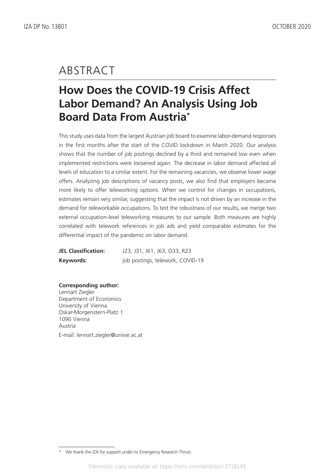# ABSTRACT

# **How Does the COVID-19 Crisis Affect Labor Demand? An Analysis Using Job Board Data From Austria\***

This study uses data from the largest Austrian job board to examine labor-demand responses in the first months after the start of the COVID lockdown in March 2020. Our analysis shows that the number of job postings declined by a third and remained low even when implemented restrictions were loosened again. The decrease in labor demand affected all levels of education to a similar extent. For the remaining vacancies, we observe lower wage offers. Analyzing job descriptions of vacancy posts, we also find that employers became more likely to offer teleworking options. When we control for changes in occupations, estimates remain very similar, suggesting that the impact is not driven by an increase in the demand for *teleworkable* occupations. To test the robustness of our results, we merge two external occupation-level teleworking measures to our sample. Both measures are highly correlated with telework references in job ads and yield comparable estimates for the differential impact of the pandemic on labor demand.

**JEL Classification:** J23, J31, J61, J63, O33, R23 **Keywords:** job postings, telework, COVID-19

**Corresponding author:**

Lennart Ziegler Department of Economics University of Vienna Oskar-Morgenstern-Platz 1 1090 Vienna Austria E-mail: lennart.ziegler@univie.ac.at

<sup>\*</sup> We thank the IZA for support under its Emergency Research Thrust.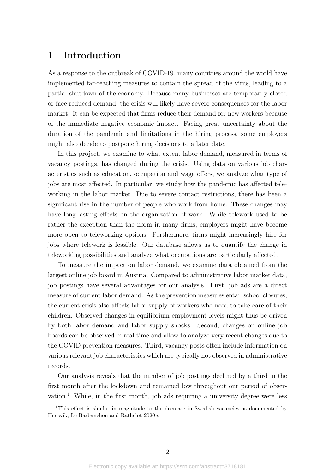### 1 Introduction

As a response to the outbreak of COVID-19, many countries around the world have implemented far-reaching measures to contain the spread of the virus, leading to a partial shutdown of the economy. Because many businesses are temporarily closed or face reduced demand, the crisis will likely have severe consequences for the labor market. It can be expected that firms reduce their demand for new workers because of the immediate negative economic impact. Facing great uncertainty about the duration of the pandemic and limitations in the hiring process, some employers might also decide to postpone hiring decisions to a later date.

In this project, we examine to what extent labor demand, measured in terms of vacancy postings, has changed during the crisis. Using data on various job characteristics such as education, occupation and wage offers, we analyze what type of jobs are most affected. In particular, we study how the pandemic has affected teleworking in the labor market. Due to severe contact restrictions, there has been a significant rise in the number of people who work from home. These changes may have long-lasting effects on the organization of work. While telework used to be rather the exception than the norm in many firms, employers might have become more open to teleworking options. Furthermore, firms might increasingly hire for jobs where telework is feasible. Our database allows us to quantify the change in teleworking possibilities and analyze what occupations are particularly affected.

To measure the impact on labor demand, we examine data obtained from the largest online job board in Austria. Compared to administrative labor market data, job postings have several advantages for our analysis. First, job ads are a direct measure of current labor demand. As the prevention measures entail school closures, the current crisis also affects labor supply of workers who need to take care of their children. Observed changes in equilibrium employment levels might thus be driven by both labor demand and labor supply shocks. Second, changes on online job boards can be observed in real time and allow to analyze very recent changes due to the COVID prevention measures. Third, vacancy posts often include information on various relevant job characteristics which are typically not observed in administrative records.

Our analysis reveals that the number of job postings declined by a third in the first month after the lockdown and remained low throughout our period of observation.[1](#page-3-0) While, in the first month, job ads requiring a university degree were less

<span id="page-3-0"></span><sup>&</sup>lt;sup>1</sup>This effect is similar in magnitude to the decrease in Swedish vacancies as documented by [Hensvik, Le Barbanchon and Rathelot](#page-19-0) [2020](#page-19-0)a.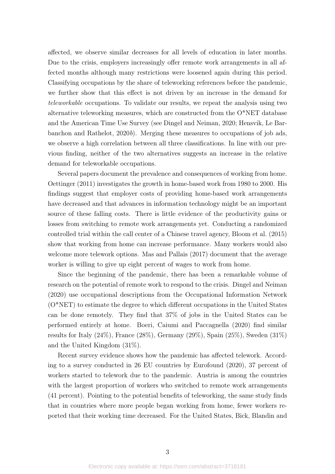affected, we observe similar decreases for all levels of education in later months. Due to the crisis, employers increasingly offer remote work arrangements in all affected months although many restrictions were loosened again during this period. Classifying occupations by the share of teleworking references before the pandemic, we further show that this effect is not driven by an increase in the demand for teleworkable occupations. To validate our results, we repeat the analysis using two alternative teleworking measures, which are constructed from the O\*NET database and the American Time Use Survey (see [Dingel and Neiman,](#page-19-1) [2020;](#page-19-1) [Hensvik, Le Bar](#page-19-2)[banchon and Rathelot,](#page-19-2) [2020](#page-19-2)b). Merging these measures to occupations of job ads, we observe a high correlation between all three classifications. In line with our previous finding, neither of the two alternatives suggests an increase in the relative demand for teleworkable occupations.

Several papers document the prevalence and consequences of working from home. [Oettinger](#page-19-3) [\(2011\)](#page-19-3) investigates the growth in home-based work from 1980 to 2000. His findings suggest that employer costs of providing home-based work arrangements have decreased and that advances in information technology might be an important source of these falling costs. There is little evidence of the productivity gains or losses from switching to remote work arrangements yet. Conducting a randomized controlled trial within the call center of a Chinese travel agency, [Bloom et al.](#page-19-4) [\(2015\)](#page-19-4) show that working from home can increase performance. Many workers would also welcome more telework options. [Mas and Pallais](#page-19-5) [\(2017\)](#page-19-5) document that the average worker is willing to give up eight percent of wages to work from home.

Since the beginning of the pandemic, there has been a remarkable volume of research on the potential of remote work to respond to the crisis. [Dingel and Neiman](#page-19-1) [\(2020\)](#page-19-1) use occupational descriptions from the Occupational Information Network (O\*NET) to estimate the degree to which different occupations in the United States can be done remotely. They find that 37% of jobs in the United States can be performed entirely at home. [Boeri, Caiumi and Paccagnella](#page-19-6) [\(2020\)](#page-19-6) find similar results for Italy (24%), France (28%), Germany (29%), Spain (25%), Sweden (31%) and the United Kingdom (31%).

Recent survey evidence shows how the pandemic has affected telework. According to a survey conducted in 26 EU countries by [Eurofound](#page-19-7) [\(2020\)](#page-19-7), 37 percent of workers started to telework due to the pandemic. Austria is among the countries with the largest proportion of workers who switched to remote work arrangements (41 percent). Pointing to the potential benefits of teleworking, the same study finds that in countries where more people began working from home, fewer workers reported that their working time decreased. For the United States, [Bick, Blandin and](#page-19-8)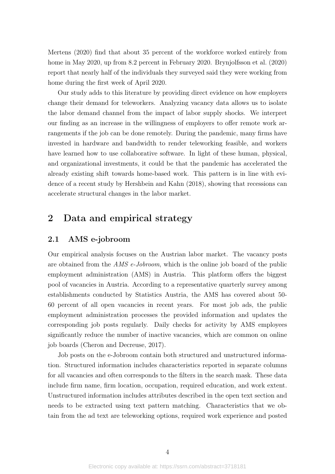[Mertens](#page-19-8) [\(2020\)](#page-19-8) find that about 35 percent of the workforce worked entirely from home in May 2020, up from 8.2 percent in February 2020. [Brynjolfsson et al.](#page-19-9) [\(2020\)](#page-19-9) report that nearly half of the individuals they surveyed said they were working from home during the first week of April 2020.

Our study adds to this literature by providing direct evidence on how employers change their demand for teleworkers. Analyzing vacancy data allows us to isolate the labor demand channel from the impact of labor supply shocks. We interpret our finding as an increase in the willingness of employers to offer remote work arrangements if the job can be done remotely. During the pandemic, many firms have invested in hardware and bandwidth to render teleworking feasible, and workers have learned how to use collaborative software. In light of these human, physical, and organizational investments, it could be that the pandemic has accelerated the already existing shift towards home-based work. This pattern is in line with evidence of a recent study by [Hershbein and Kahn](#page-19-10) [\(2018\)](#page-19-10), showing that recessions can accelerate structural changes in the labor market.

### 2 Data and empirical strategy

#### 2.1 AMS e-jobroom

Our empirical analysis focuses on the Austrian labor market. The vacancy posts are obtained from the *AMS e-Jobroom*, which is the online job board of the public employment administration (AMS) in Austria. This platform offers the biggest pool of vacancies in Austria. According to a representative quarterly survey among establishments conducted by Statistics Austria, the AMS has covered about 50- 60 percent of all open vacancies in recent years. For most job ads, the public employment administration processes the provided information and updates the corresponding job posts regularly. Daily checks for activity by AMS employees significantly reduce the number of inactive vacancies, which are common on online job boards [\(Cheron and Decreuse,](#page-19-11) [2017\)](#page-19-11).

Job posts on the e-Jobroom contain both structured and unstructured information. Structured information includes characteristics reported in separate columns for all vacancies and often corresponds to the filters in the search mask. These data include firm name, firm location, occupation, required education, and work extent. Unstructured information includes attributes described in the open text section and needs to be extracted using text pattern matching. Characteristics that we obtain from the ad text are teleworking options, required work experience and posted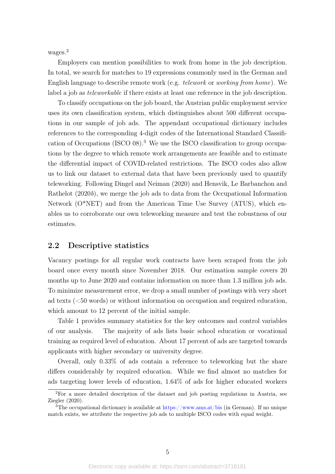wages.<sup>[2](#page-6-0)</sup>

Employers can mention possibilities to work from home in the job description. In total, we search for matches to 19 expressions commonly used in the German and English language to describe remote work (e.g. telework or working from home). We label a job as teleworkable if there exists at least one reference in the job description.

To classify occupations on the job board, the Austrian public employment service uses its own classification system, which distinguishes about 500 different occupations in our sample of job ads. The appendant occupational dictionary includes references to the corresponding 4-digit codes of the International Standard Classification of Occupations (ISCO 08).[3](#page-6-1) We use the ISCO classification to group occupations by the degree to which remote work arrangements are feasible and to estimate the differential impact of COVID-related restrictions. The ISCO codes also allow us to link our dataset to external data that have been previously used to quantify teleworking. Following [Dingel and Neiman](#page-19-1) [\(2020\)](#page-19-1) and [Hensvik, Le Barbanchon and](#page-19-2) [Rathelot](#page-19-2) [\(2020](#page-19-2)b), we merge the job ads to data from the Occupational Information Network (O\*NET) and from the American Time Use Survey (ATUS), which enables us to corroborate our own teleworking measure and test the robustness of our estimates.

#### 2.2 Descriptive statistics

Vacancy postings for all regular work contracts have been scraped from the job board once every month since November 2018. Our estimation sample covers 20 months up to June 2020 and contains information on more than 1.3 million job ads. To minimize measurement error, we drop a small number of postings with very short ad texts (<50 words) or without information on occupation and required education, which amount to 12 percent of the initial sample.

Table [1](#page-7-0) provides summary statistics for the key outcomes and control variables of our analysis. The majority of ads lists basic school education or vocational training as required level of education. About 17 percent of ads are targeted towards applicants with higher secondary or university degree.

Overall, only 0.33% of ads contain a reference to teleworking but the share differs considerably by required education. While we find almost no matches for ads targeting lower levels of education, 1.64% of ads for higher educated workers

<span id="page-6-0"></span><sup>2</sup>For a more detailed description of the dataset and job posting regulations in Austria, see [Ziegler](#page-20-0) [\(2020\)](#page-20-0).

<span id="page-6-1"></span> $3$ The occupational dictionary is available at <https://www.ams.at/bis> (in German). If no unique match exists, we attribute the respective job ads to multiple ISCO codes with equal weight.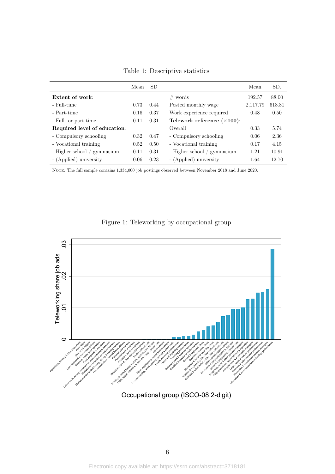<span id="page-7-0"></span>

|                              | Mean | <b>SD</b> |                                     | Mean     | SD.    |
|------------------------------|------|-----------|-------------------------------------|----------|--------|
| Extent of work:              |      |           | $\#$ words                          | 192.57   | 88.00  |
| - Full-time                  | 0.73 | 0.44      | Posted monthly wage                 | 2,117.79 | 618.81 |
| - Part-time                  | 0.16 | 0.37      | Work experience required            | 0.48     | 0.50   |
| - Full- or part-time         | 0.11 | 0.31      | Telework reference $(\times 100)$ : |          |        |
| Required level of education: |      |           | Overall                             | 0.33     | 5.74   |
| - Compulsory schooling       | 0.32 | 0.47      | - Compulsory schooling              | 0.06     | 2.36   |
| - Vocational training        | 0.52 | 0.50      | - Vocational training               | 0.17     | 4.15   |
| - Higher school / gymnasium  | 0.11 | 0.31      | - Higher school / gymnasium         | 1.21     | 10.91  |
| - (Applied) university       | 0.06 | 0.23      | - (Applied) university              | 1.64     | 12.70  |

Table 1: Descriptive statistics

NOTE: The full sample contains 1,334,000 job postings observed between November 2018 and June 2020.



<span id="page-7-1"></span>

Occupational group (ISCO-08 2-digit)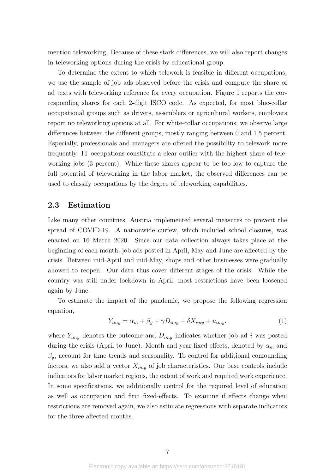mention teleworking. Because of these stark differences, we will also report changes in teleworking options during the crisis by educational group.

To determine the extent to which telework is feasible in different occupations, we use the sample of job ads observed before the crisis and compute the share of ad texts with teleworking reference for every occupation. Figure [1](#page-7-1) reports the corresponding shares for each 2-digit ISCO code. As expected, for most blue-collar occupational groups such as drivers, assemblers or agricultural workers, employers report no teleworking options at all. For white-collar occupations, we observe large differences between the different groups, mostly ranging between 0 and 1.5 percent. Especially, professionals and managers are offered the possibility to telework more frequently. IT occupations constitute a clear outlier with the highest share of teleworking jobs (3 percent). While these shares appear to be too low to capture the full potential of teleworking in the labor market, the observed differences can be used to classify occupations by the degree of teleworking capabilities.

#### 2.3 Estimation

Like many other countries, Austria implemented several measures to prevent the spread of COVID-19. A nationwide curfew, which included school closures, was enacted on 16 March 2020. Since our data collection always takes place at the beginning of each month, job ads posted in April, May and June are affected by the crisis. Between mid-April and mid-May, shops and other businesses were gradually allowed to reopen. Our data thus cover different stages of the crisis. While the country was still under lockdown in April, most restrictions have been loosened again by June.

To estimate the impact of the pandemic, we propose the following regression equation,

$$
Y_{imy} = \alpha_m + \beta_y + \gamma D_{imy} + \delta X_{imy} + u_{imy},\tag{1}
$$

where  $Y_{imy}$  denotes the outcome and  $D_{imy}$  indicates whether job ad i was posted during the crisis (April to June). Month and year fixed-effects, denoted by  $\alpha_m$  and  $\beta_y$ , account for time trends and seasonality. To control for additional confounding factors, we also add a vector  $X_{imy}$  of job characteristics. Our base controls include indicators for labor market regions, the extent of work and required work experience. In some specifications, we additionally control for the required level of education as well as occupation and firm fixed-effects. To examine if effects change when restrictions are removed again, we also estimate regressions with separate indicators for the three affected months.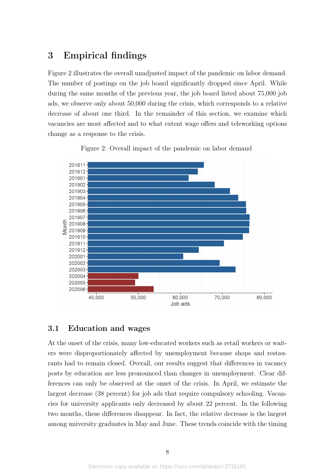### 3 Empirical findings

Figure [2](#page-9-0) illustrates the overall unadjusted impact of the pandemic on labor demand. The number of postings on the job board significantly dropped since April. While during the same months of the previous year, the job board listed about 75,000 job ads, we observe only about 50,000 during the crisis, which corresponds to a relative decrease of about one third. In the remainder of this section, we examine which vacancies are most affected and to what extent wage offers and teleworking options change as a response to the crisis.

<span id="page-9-0"></span>

Figure 2: Overall impact of the pandemic on labor demand

#### 3.1 Education and wages

At the onset of the crisis, many low-educated workers such as retail workers or waiters were disproportionately affected by unemployment because shops and restaurants had to remain closed. Overall, our results suggest that differences in vacancy posts by education are less pronounced than changes in unemployment. Clear differences can only be observed at the onset of the crisis. In April, we estimate the largest decrease (38 percent) for job ads that require compulsory schooling. Vacancies for university applicants only decreased by about 22 percent. In the following two months, these differences disappear. In fact, the relative decrease is the largest among university graduates in May and June. These trends coincide with the timing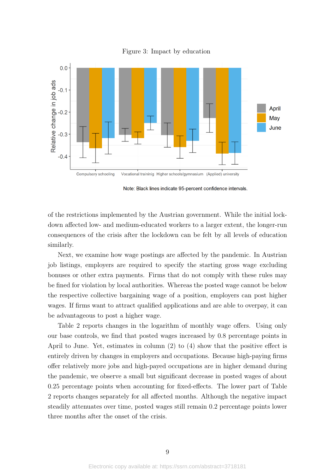

Figure 3: Impact by education

Note: Black lines indicate 95-percent confidence intervals.

of the restrictions implemented by the Austrian government. While the initial lockdown affected low- and medium-educated workers to a larger extent, the longer-run consequences of the crisis after the lockdown can be felt by all levels of education similarly.

Next, we examine how wage postings are affected by the pandemic. In Austrian job listings, employers are required to specify the starting gross wage excluding bonuses or other extra payments. Firms that do not comply with these rules may be fined for violation by local authorities. Whereas the posted wage cannot be below the respective collective bargaining wage of a position, employers can post higher wages. If firms want to attract qualified applications and are able to overpay, it can be advantageous to post a higher wage.

Table [2](#page-11-0) reports changes in the logarithm of monthly wage offers. Using only our base controls, we find that posted wages increased by 0.8 percentage points in April to June. Yet, estimates in column (2) to (4) show that the positive effect is entirely driven by changes in employers and occupations. Because high-paying firms offer relatively more jobs and high-payed occupations are in higher demand during the pandemic, we observe a small but significant decrease in posted wages of about 0.25 percentage points when accounting for fixed-effects. The lower part of Table [2](#page-11-0) reports changes separately for all affected months. Although the negative impact steadily attenuates over time, posted wages still remain 0.2 percentage points lower three months after the onset of the crisis.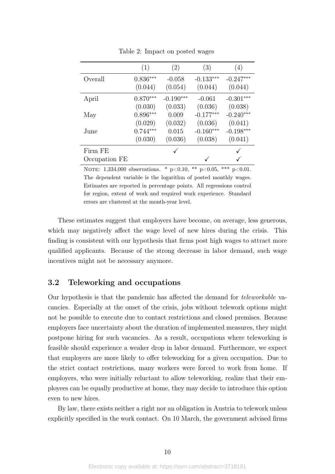<span id="page-11-0"></span>

|               | (1)                   | (2)                 | (3)                    | (4)                    |
|---------------|-----------------------|---------------------|------------------------|------------------------|
| Overall       | $0.836***$<br>(0.044) | $-0.058$<br>(0.054) | $-0.133***$<br>(0.044) | $-0.247***$<br>(0.044) |
|               |                       |                     |                        |                        |
| April         | $0.870***$            | $-0.190***$         | $-0.061$               | $-0.301***$            |
|               | (0.030)               | (0.033)             | (0.036)                | (0.038)                |
| May           | $0.896***$            | 0.009               | $-0.177***$            | $-0.240***$            |
|               | (0.029)               | (0.032)             | (0.036)                | (0.041)                |
| June          | $0.744***$            | 0.015               | $-0.160***$            | $-0.198***$            |
|               | (0.030)               | (0.036)             | (0.038)                | (0.041)                |
| Firm FE       |                       |                     |                        |                        |
| Occupation FE |                       |                     |                        |                        |

Table 2: Impact on posted wages

NOTE: 1,334,000 observations. \*  $p<0.10$ , \*\*  $p<0.05$ , \*\*\*  $p<0.01$ . The dependent variable is the logarithm of posted monthly wages. Estimates are reported in percentage points. All regressions control for region, extent of work and required work experience. Standard errors are clustered at the month-year level.

These estimates suggest that employers have become, on average, less generous, which may negatively affect the wage level of new hires during the crisis. This finding is consistent with our hypothesis that firms post high wages to attract more qualified applicants. Because of the strong decrease in labor demand, such wage incentives might not be necessary anymore.

### 3.2 Teleworking and occupations

Our hypothesis is that the pandemic has affected the demand for teleworkable vacancies. Especially at the onset of the crisis, jobs without telework options might not be possible to execute due to contact restrictions and closed premises. Because employers face uncertainty about the duration of implemented measures, they might postpone hiring for such vacancies. As a result, occupations where teleworking is feasible should experience a weaker drop in labor demand. Furthermore, we expect that employers are more likely to offer teleworking for a given occupation. Due to the strict contact restrictions, many workers were forced to work from home. If employers, who were initially reluctant to allow teleworking, realize that their employees can be equally productive at home, they may decide to introduce this option even to new hires.

By law, there exists neither a right nor an obligation in Austria to telework unless explicitly specified in the work contact. On 10 March, the government advised firms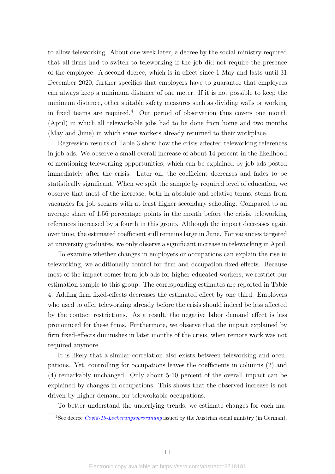to allow teleworking. About one week later, a decree by the social ministry required that all firms had to switch to teleworking if the job did not require the presence of the employee. A second decree, which is in effect since 1 May and lasts until 31 December 2020, further specifies that employers have to guarantee that employees can always keep a minimum distance of one meter. If it is not possible to keep the minimum distance, other suitable safety measures such as dividing walls or working in fixed teams are required.<sup>[4](#page-12-0)</sup> Our period of observation thus covers one month (April) in which all teleworkable jobs had to be done from home and two months (May and June) in which some workers already returned to their workplace.

Regression results of Table [3](#page-13-0) show how the crisis affected teleworking references in job ads. We observe a small overall increase of about 14 percent in the likelihood of mentioning teleworking opportunities, which can be explained by job ads posted immediately after the crisis. Later on, the coefficient decreases and fades to be statistically significant. When we split the sample by required level of education, we observe that most of the increase, both in absolute and relative terms, stems from vacancies for job seekers with at least higher secondary schooling. Compared to an average share of 1.56 percentage points in the month before the crisis, teleworking references increased by a fourth in this group. Although the impact decreases again over time, the estimated coefficient still remains large in June. For vacancies targeted at university graduates, we only observe a significant increase in teleworking in April.

To examine whether changes in employers or occupations can explain the rise in teleworking, we additionally control for firm and occupation fixed-effects. Because most of the impact comes from job ads for higher educated workers, we restrict our estimation sample to this group. The corresponding estimates are reported in Table [4.](#page-15-0) Adding firm fixed-effects decreases the estimated effect by one third. Employers who used to offer teleworking already before the crisis should indeed be less affected by the contact restrictions. As a result, the negative labor demand effect is less pronounced for these firms. Furthermore, we observe that the impact explained by firm fixed-effects diminishes in later months of the crisis, when remote work was not required anymore.

It is likely that a similar correlation also exists between teleworking and occupations. Yet, controlling for occupations leaves the coefficients in columns (2) and (4) remarkably unchanged. Only about 5-10 percent of the overall impact can be explained by changes in occupations. This shows that the observed increase is not driven by higher demand for teleworkable occupations.

To better understand the underlying trends, we estimate changes for each ma-

<span id="page-12-0"></span><sup>&</sup>lt;sup>4</sup>See decree *[Covid-19-Lockerungsverordnung](https://www.ris.bka.gv.at/GeltendeFassung.wxe%3FAbfrage%3DBundesnormen%26Gesetzesnummer%3D20011162)* issued by the Austrian social ministry (in German).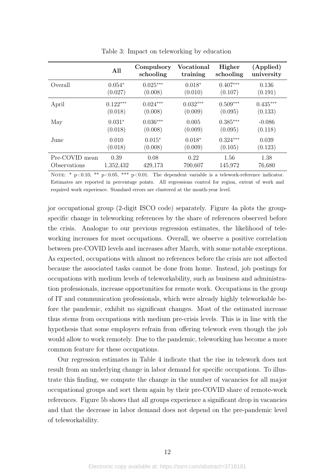<span id="page-13-0"></span>

|                | All        | Compulsory<br>schooling | <b>Vocational</b><br>training | Higher<br>schooling | (Applied)<br>university |
|----------------|------------|-------------------------|-------------------------------|---------------------|-------------------------|
| Overall        | $0.054*$   | $0.025***$              | $0.018*$                      | $0.407***$          | 0.136                   |
|                | (0.027)    | (0.008)                 | (0.010)                       | (0.107)             | (0.191)                 |
| April          | $0.122***$ | $0.024***$              | $0.032***$                    | $0.509***$          | $0.435***$              |
|                | (0.018)    | (0.008)                 | (0.009)                       | (0.095)             | (0.133)                 |
| May            | $0.031*$   | $0.036***$              | 0.005                         | $0.385***$          | $-0.086$                |
|                | (0.018)    | (0.008)                 | (0.009)                       | (0.095)             | (0.118)                 |
| June           | 0.010      | $0.015*$                | $0.018*$                      | $0.324***$          | 0.039                   |
|                | (0.018)    | (0.008)                 | (0.009)                       | (0.105)             | (0.123)                 |
| Pre-COVID mean | 0.39       | 0.08                    | 0.22                          | 1.56                | 1.38                    |
| Observations   | 1,352,432  | 429,173                 | 700,607                       | 145,972             | 76,680                  |

Table 3: Impact on teleworking by education

NOTE: \*  $p<0.10$ , \*\*  $p<0.05$ , \*\*\*  $p<0.01$ . The dependent variable is a telework-reference indicator. Estimates are reported in percentage points. All regressions control for region, extent of work and required work experience. Standard errors are clustered at the month-year level.

jor occupational group (2-digit ISCO code) separately. Figure [4a](#page-14-0) plots the groupspecific change in teleworking references by the share of references observed before the crisis. Analogue to our previous regression estimates, the likelihood of teleworking increases for most occupations. Overall, we observe a positive correlation between pre-COVID levels and increases after March, with some notable exceptions. As expected, occupations with almost no references before the crisis are not affected because the associated tasks cannot be done from home. Instead, job postings for occupations with medium levels of teleworkability, such as business and administration professionals, increase opportunities for remote work. Occupations in the group of IT and communication professionals, which were already highly teleworkable before the pandemic, exhibit no significant changes. Most of the estimated increase thus stems from occupations with medium pre-crisis levels. This is in line with the hypothesis that some employers refrain from offering telework even though the job would allow to work remotely. Due to the pandemic, teleworking has become a more common feature for these occupations.

Our regression estimates in Table [4](#page-15-0) indicate that the rise in telework does not result from an underlying change in labor demand for specific occupations. To illustrate this finding, we compute the change in the number of vacancies for all major occupational groups and sort them again by their pre-COVID share of remote-work references. Figure [5b](#page-14-1) shows that all groups experience a significant drop in vacancies and that the decrease in labor demand does not depend on the pre-pandemic level of teleworkability.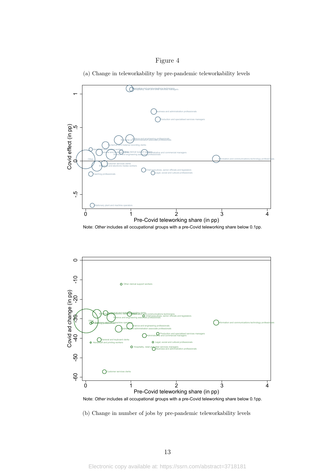#### Figure 4



<span id="page-14-0"></span>

Note: *Other* includes all occupational groups with a pre-Covid teleworking share below 0.1pp.

<span id="page-14-1"></span>

(b) Change in number of jobs by pre-pandemic teleworkability levels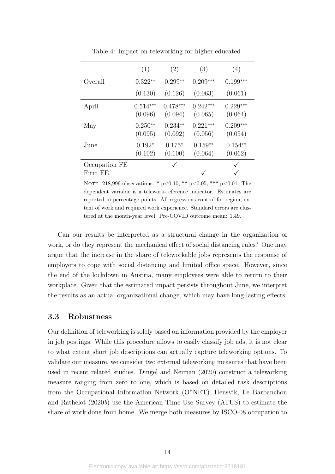<span id="page-15-0"></span>

|                          | (1)                   | (2)                   | (3)                   | (4)                   |
|--------------------------|-----------------------|-----------------------|-----------------------|-----------------------|
| Overall                  | $0.322**$             | $0.299**$             | $0.209***$            | $0.199***$            |
|                          | (0.130)               | (0.126)               | (0.063)               | (0.061)               |
| April                    | $0.514***$<br>(0.096) | $0.478***$<br>(0.094) | $0.242***$<br>(0.065) | $0.229***$<br>(0.064) |
| May                      | $0.250**$<br>(0.095)  | $0.234**$<br>(0.092)  | $0.221***$<br>(0.056) | $0.209***$<br>(0.054) |
| June                     | $0.192*$<br>(0.102)   | $0.175*$<br>(0.100)   | $0.159**$<br>(0.064)  | $0.154**$<br>(0.062)  |
| Occupation FE<br>Firm FE |                       | ✓                     |                       |                       |

Table 4: Impact on teleworking for higher educated

NOTE: 218,999 observations. \*  $p<0.10$ , \*\*  $p<0.05$ , \*\*\*  $p<0.01$ . The dependent variable is a telework-reference indicator. Estimates are reported in percentage points. All regressions control for region, extent of work and required work experience. Standard errors are clustered at the month-year level. Pre-COVID outcome mean: 1.49.

Can our results be interpreted as a structural change in the organization of work, or do they represent the mechanical effect of social distancing rules? One may argue that the increase in the share of teleworkable jobs represents the response of employers to cope with social distancing and limited office space. However, since the end of the lockdown in Austria, many employees were able to return to their workplace. Given that the estimated impact persists throughout June, we interpret the results as an actual organizational change, which may have long-lasting effects.

#### 3.3 Robustness

Our definition of teleworking is solely based on information provided by the employer in job postings. While this procedure allows to easily classify job ads, it is not clear to what extent short job descriptions can actually capture teleworking options. To validate our measure, we consider two external teleworking measures that have been used in recent related studies. [Dingel and Neiman](#page-19-1) [\(2020\)](#page-19-1) construct a teleworking measure ranging from zero to one, which is based on detailed task descriptions from the Occupational Information Network (O\*NET). [Hensvik, Le Barbanchon](#page-19-2) [and Rathelot](#page-19-2) [\(2020](#page-19-2)b) use the American Time Use Survey (ATUS) to estimate the share of work done from home. We merge both measures by ISCO-08 occupation to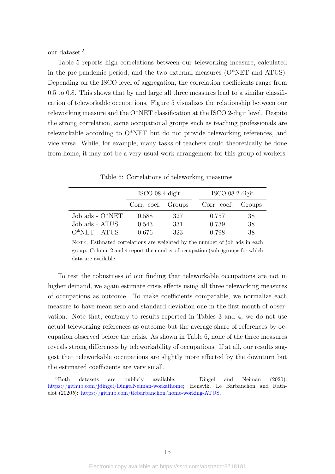our dataset.[5](#page-16-0)

Table [5](#page-16-1) reports high correlations between our teleworking measure, calculated in the pre-pandemic period, and the two external measures  $(O^*NET$  and  $ATUS)$ . Depending on the ISCO level of aggregation, the correlation coefficients range from 0.5 to 0.8. This shows that by and large all three measures lead to a similar classification of teleworkable occupations. Figure [5](#page-17-0) visualizes the relationship between our teleworking measure and the O\*NET classification at the ISCO 2-digit level. Despite the strong correlation, some occupational groups such as teaching professionals are teleworkable according to O\*NET but do not provide teleworking references, and vice versa. While, for example, many tasks of teachers could theoretically be done from home, it may not be a very usual work arrangement for this group of workers.

<span id="page-16-1"></span>

|                   | $\text{ISCO-08}$ 4-digit |     |       | $\text{ISCO-08}$ 2-digit |  |  |
|-------------------|--------------------------|-----|-------|--------------------------|--|--|
|                   | Corr. coef. Groups       |     |       | Corr. coef. Groups       |  |  |
| Job ads - $O*NET$ | 0.588                    | 327 | 0.757 | 38                       |  |  |
| Job ads - ATUS    | 0.543                    | 331 | 0.739 | 38                       |  |  |
| $O*NET - ATUS$    | 0.676                    | 323 | 0.798 | 38                       |  |  |

Table 5: Correlations of teleworking measures

NOTE: Estimated correlations are weighted by the number of job ads in each group. Column 2 and 4 report the number of occupation (sub-)groups for which data are available.

To test the robustness of our finding that teleworkable occupations are not in higher demand, we again estimate crisis effects using all three teleworking measures of occupations as outcome. To make coefficients comparable, we normalize each measure to have mean zero and standard deviation one in the first month of observation. Note that, contrary to results reported in Tables [3](#page-13-0) and [4,](#page-15-0) we do not use actual teleworking references as outcome but the average share of references by occupation observed before the crisis. As shown in Table [6,](#page-17-1) none of the three measures reveals strong differences by teleworkability of occupations. If at all, our results suggest that teleworkable occupations are slightly more affected by the downturn but the estimated coefficients are very small.

<span id="page-16-0"></span> ${}^{5}$ Both datasets are publicly available. [Dingel and Neiman](#page-19-1) [\(2020\)](#page-19-1): [https://github.com/jdingel/DingelNeiman-workathome;](https://github.com/jdingel/DingelNeiman-workathome) [Hensvik, Le Barbanchon and Rath](#page-19-2)[elot](#page-19-2) [\(2020](#page-19-2)b): [https://github.com/tlebarbanchon/home-working-ATUS.](%20https://github.com/tlebarbanchon/home-working-ATUS)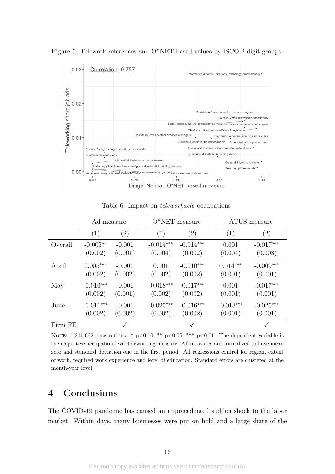<span id="page-17-0"></span>Figure 5: Telework references and O\*NET-based values by ISCO 2-digit groups



<span id="page-17-1"></span>

|         | Ad measure  |                   |             | $O*NET$ measure   |             | ATUS measure      |  |
|---------|-------------|-------------------|-------------|-------------------|-------------|-------------------|--|
|         | (1)         | $\left( 2\right)$ | (1)         | $\left( 2\right)$ | (1)         | $\left( 2\right)$ |  |
| Overall | $-0.005**$  | $-0.001$          | $-0.014***$ | $-0.014***$       | 0.001       | $-0.017***$       |  |
|         | (0.002)     | (0.001)           | (0.004)     | (0.002)           | (0.004)     | (0.003)           |  |
| April   | $0.005***$  | $-0.001$          | 0.001       | $-0.010***$       | $0.014***$  | $-0.009***$       |  |
|         | (0.002)     | (0.002)           | (0.002)     | (0.002)           | (0.001)     | (0.001)           |  |
| May     | $-0.010***$ | $-0.001$          | $-0.018***$ | $-0.017***$       | 0.001       | $-0.017***$       |  |
|         | (0.002)     | (0.001)           | (0.002)     | (0.002)           | (0.001)     | (0.001)           |  |
| June    | $-0.011***$ | $-0.001$          | $-0.025***$ | $-0.016***$       | $-0.013***$ | $-0.025***$       |  |
|         | (0.002)     | (0.002)           | (0.002)     | (0.002)           | (0.001)     | (0.001)           |  |
| Firm FE |             |                   |             |                   |             |                   |  |

Table 6: Impact on teleworkable occupations

NOTE: 1,311,062 observations. \*  $p<0.10$ , \*\*  $p<0.05$ , \*\*\*  $p<0.01$ . The dependent variable is the respective occupation-level teleworking measure. All measures are normalized to have mean zero and standard deviation one in the first period. All regressions control for region, extent of work, required work experience and level of education. Standard errors are clustered at the month-year level.

## 4 Conclusions

The COVID-19 pandemic has caused an unprecedented sudden shock to the labor market. Within days, many businesses were put on hold and a large share of the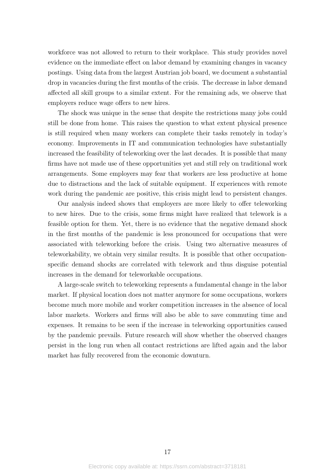workforce was not allowed to return to their workplace. This study provides novel evidence on the immediate effect on labor demand by examining changes in vacancy postings. Using data from the largest Austrian job board, we document a substantial drop in vacancies during the first months of the crisis. The decrease in labor demand affected all skill groups to a similar extent. For the remaining ads, we observe that employers reduce wage offers to new hires.

The shock was unique in the sense that despite the restrictions many jobs could still be done from home. This raises the question to what extent physical presence is still required when many workers can complete their tasks remotely in today's economy. Improvements in IT and communication technologies have substantially increased the feasibility of teleworking over the last decades. It is possible that many firms have not made use of these opportunities yet and still rely on traditional work arrangements. Some employers may fear that workers are less productive at home due to distractions and the lack of suitable equipment. If experiences with remote work during the pandemic are positive, this crisis might lead to persistent changes.

Our analysis indeed shows that employers are more likely to offer teleworking to new hires. Due to the crisis, some firms might have realized that telework is a feasible option for them. Yet, there is no evidence that the negative demand shock in the first months of the pandemic is less pronounced for occupations that were associated with teleworking before the crisis. Using two alternative measures of teleworkability, we obtain very similar results. It is possible that other occupationspecific demand shocks are correlated with telework and thus disguise potential increases in the demand for teleworkable occupations.

A large-scale switch to teleworking represents a fundamental change in the labor market. If physical location does not matter anymore for some occupations, workers become much more mobile and worker competition increases in the absence of local labor markets. Workers and firms will also be able to save commuting time and expenses. It remains to be seen if the increase in teleworking opportunities caused by the pandemic prevails. Future research will show whether the observed changes persist in the long run when all contact restrictions are lifted again and the labor market has fully recovered from the economic downturn.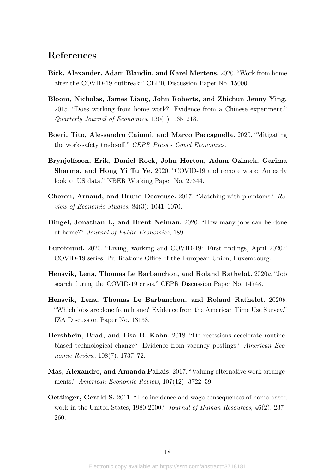### References

- <span id="page-19-8"></span>Bick, Alexander, Adam Blandin, and Karel Mertens. 2020. "Work from home after the COVID-19 outbreak." CEPR Discussion Paper No. 15000.
- <span id="page-19-4"></span>Bloom, Nicholas, James Liang, John Roberts, and Zhichun Jenny Ying. 2015. "Does working from home work? Evidence from a Chinese experiment." Quarterly Journal of Economics, 130(1): 165–218.
- <span id="page-19-6"></span>Boeri, Tito, Alessandro Caiumi, and Marco Paccagnella. 2020. "Mitigating the work-safety trade-off." CEPR Press - Covid Economics.
- <span id="page-19-9"></span>Brynjolfsson, Erik, Daniel Rock, John Horton, Adam Ozimek, Garima Sharma, and Hong Yi Tu Ye. 2020. "COVID-19 and remote work: An early look at US data." NBER Working Paper No. 27344.
- <span id="page-19-11"></span>Cheron, Arnaud, and Bruno Decreuse. 2017. "Matching with phantoms." Review of Economic Studies, 84(3): 1041–1070.
- <span id="page-19-1"></span>Dingel, Jonathan I., and Brent Neiman. 2020. "How many jobs can be done at home?" Journal of Public Economics, 189.
- <span id="page-19-7"></span>Eurofound. 2020. "Living, working and COVID-19: First findings, April 2020." COVID-19 series, Publications Office of the European Union, Luxembourg.
- <span id="page-19-0"></span>Hensvik, Lena, Thomas Le Barbanchon, and Roland Rathelot. 2020a. "Job search during the COVID-19 crisis." CEPR Discussion Paper No. 14748.
- <span id="page-19-2"></span>Hensvik, Lena, Thomas Le Barbanchon, and Roland Rathelot. 2020b. "Which jobs are done from home? Evidence from the American Time Use Survey." IZA Discussion Paper No. 13138.
- <span id="page-19-10"></span>Hershbein, Brad, and Lisa B. Kahn. 2018. "Do recessions accelerate routinebiased technological change? Evidence from vacancy postings." American Economic Review, 108(7): 1737–72.
- <span id="page-19-5"></span>Mas, Alexandre, and Amanda Pallais. 2017. "Valuing alternative work arrangements." American Economic Review, 107(12): 3722–59.
- <span id="page-19-3"></span>Oettinger, Gerald S. 2011. "The incidence and wage consequences of home-based work in the United States, 1980-2000." Journal of Human Resources, 46(2): 237– 260.